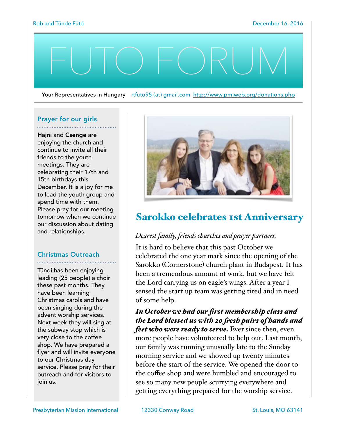# FUTO FORUM

Your Representatives in Hungary rtfuto95 (at) gmail.com <http://www.pmiweb.org/donations.php>

#### Prayer for our girls

Hajni and Csenge are enjoying the church and continue to invite all their friends to the youth meetings. They are celebrating their 17th and 15th birthdays this December. It is a joy for me to lead the youth group and spend time with them. Please pray for our meeting tomorrow when we continue our discussion about dating and relationships.

## Christmas Outreach

Tündi has been enjoying leading (25 people) a choir these past months. They have been learning Christmas carols and have been singing during the advent worship services. Next week they will sing at the subway stop which is very close to the coffee shop. We have prepared a flyer and will invite everyone to our Christmas day service. Please pray for their outreach and for visitors to join us.



# Sarokko celebrates 1st Anniversary

## *Dearest family, fiends churches and prayer partners,*

It is hard to believe that this past October we celebrated the one year mark since the opening of the Sarokko (Cornerstone) church plant in Budapest. It has been a tremendous amount of work, but we have felt the Lord carrying us on eagle's wings. After a year I sensed the start-up team was getting tired and in need of some help.

*In October we had our first membership class and the Lord blessed us with 20 fesh pairs of hands and feet who were ready to serve.* Ever since then, even more people have volunteered to help out. Last month,

our family was running unusually late to the Sunday morning service and we showed up twenty minutes before the start of the service. We opened the door to the coffee shop and were humbled and encouraged to see so many new people scurrying everywhere and getting everything prepared for the worship service.